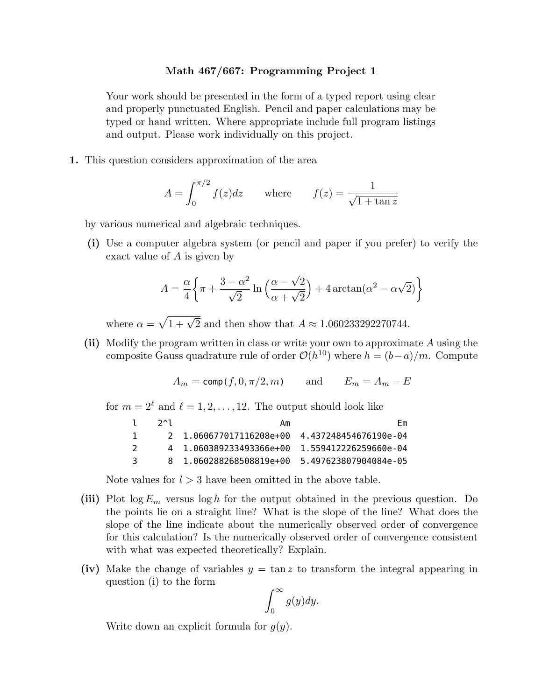## **Math 467/667: Programming Project 1**

Your work should be presented in the form of a typed report using clear and properly punctuated English. Pencil and paper calculations may be typed or hand written. Where appropriate include full program listings and output. Please work individually on this project.

**1.** This question considers approximation of the area

$$
A = \int_0^{\pi/2} f(z)dz \quad \text{where} \quad f(z) = \frac{1}{\sqrt{1 + \tan z}}
$$

by various numerical and algebraic techniques.

**(i)** Use a computer algebra system (or pencil and paper if you prefer) to verify the exact value of *A* is given by

$$
A = \frac{\alpha}{4} \left\{ \pi + \frac{3 - \alpha^2}{\sqrt{2}} \ln \left( \frac{\alpha - \sqrt{2}}{\alpha + \sqrt{2}} \right) + 4 \arctan(\alpha^2 - \alpha \sqrt{2}) \right\}
$$

where  $\alpha = \sqrt{1 + \sqrt{2}}$  and then show that  $A \approx 1.060233292270744$ .

**(ii)** Modify the program written in class or write your own to approximate *A* using the composite Gauss quadrature rule of order  $\mathcal{O}(h^{10})$  where  $h = (b-a)/m$ . Compute

$$
A_m = \text{comp}(f, 0, \pi/2, m) \quad \text{and} \quad E_m = A_m - E
$$

for  $m = 2^{\ell}$  and  $\ell = 1, 2, ..., 12$ . The output should look like

| $\mathbf{L}$  | $2^{\wedge}1$ | Am                                                | Fm                    |
|---------------|---------------|---------------------------------------------------|-----------------------|
| Т.            |               | 2   1.060677017116208e+00   4.437248454676190e-04 |                       |
| $\mathcal{L}$ |               | 4 1.060389233493366e+00                           | 1.559412226259660e-04 |
| 3             |               | 8 1.060288268508819e+00                           | 5.497623807904084e-05 |

Note values for  $l > 3$  have been omitted in the above table.

- **(iii)** Plot log *E<sup>m</sup>* versus log *h* for the output obtained in the previous question. Do the points lie on a straight line? What is the slope of the line? What does the slope of the line indicate about the numerically observed order of convergence for this calculation? Is the numerically observed order of convergence consistent with what was expected theoretically? Explain.
- **(iv)** Make the change of variables  $y = \tan z$  to transform the integral appearing in question (i) to the form

$$
\int_0^\infty g(y)dy.
$$

Write down an explicit formula for *g*(*y*).